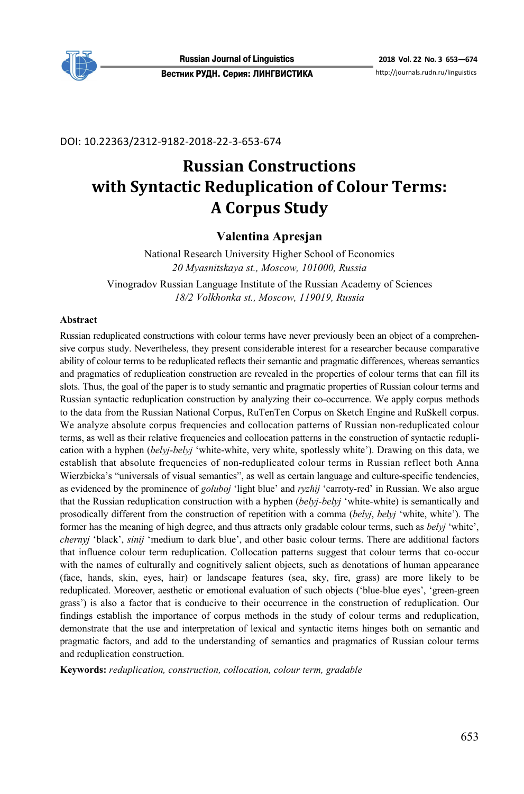

## DOI: 10.22363/2312-9182-2018-22-3-653-674

# **Russian Constructions with Syntactic Reduplication of Colour Terms: A Corpus Study**

# **Valentina Apresjan**

National Research University Higher School of Economics *20 Myasnitskaya st., Moscow, 101000, Russia*  Vinogradov Russian Language Institute of the Russian Academy of Sciences

*18/2 Volkhonka st., Moscow, 119019, Russia* 

#### **Abstract**

Russian reduplicated constructions with colour terms have never previously been an object of a comprehensive corpus study. Nevertheless, they present considerable interest for a researcher because comparative ability of colour terms to be reduplicated reflects their semantic and pragmatic differences, whereas semantics and pragmatics of reduplication construction are revealed in the properties of colour terms that can fill its slots. Thus, the goal of the paper is to study semantic and pragmatic properties of Russian colour terms and Russian syntactic reduplication construction by analyzing their co-occurrence. We apply corpus methods to the data from the Russian National Corpus, RuTenTen Corpus on Sketch Engine and RuSkell corpus. We analyze absolute corpus frequencies and collocation patterns of Russian non-reduplicated colour terms, as well as their relative frequencies and collocation patterns in the construction of syntactic reduplication with a hyphen (*belyj-belyj* 'white-white, very white, spotlessly white'). Drawing on this data, we establish that absolute frequencies of non-reduplicated colour terms in Russian reflect both Anna Wierzbicka's "universals of visual semantics", as well as certain language and culture-specific tendencies, as evidenced by the prominence of *goluboj* 'light blue' and *ryzhij* 'carroty-red' in Russian. We also argue that the Russian reduplication construction with a hyphen (*belyj-belyj* 'white-white) is semantically and prosodically different from the construction of repetition with a comma (*belyj*, *belyj* 'white, white'). The former has the meaning of high degree, and thus attracts only gradable colour terms, such as *belyj* 'white', *chernyj* 'black', *sinij* 'medium to dark blue', and other basic colour terms. There are additional factors that influence colour term reduplication. Collocation patterns suggest that colour terms that co-occur with the names of culturally and cognitively salient objects, such as denotations of human appearance (face, hands, skin, eyes, hair) or landscape features (sea, sky, fire, grass) are more likely to be reduplicated. Moreover, aesthetic or emotional evaluation of such objects ('blue-blue eyes', 'green-green grass') is also a factor that is conducive to their occurrence in the construction of reduplication. Our findings establish the importance of corpus methods in the study of colour terms and reduplication, demonstrate that the use and interpretation of lexical and syntactic items hinges both on semantic and pragmatic factors, and add to the understanding of semantics and pragmatics of Russian colour terms and reduplication construction.

**Keywords:** *reduplication, construction, collocation, colour term, gradable*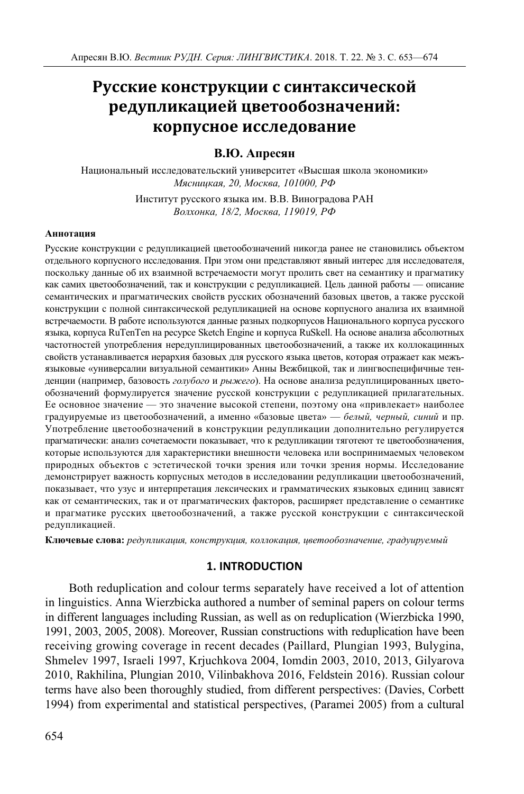# **Русские конструкции с синтаксической редупликацией цветообозначений: корпусное исследование**

## **В.Ю. Апресян**

Национальный исследовательский университет «Высшая школа экономики» *Мясницкая, 20, Москва, 101000, РФ* 

> Институт русского языка им. В.В. Виноградова РАН *Волхонка, 18/2, Москва, 119019, РФ*

#### **Аннотация**

Русские конструкции с редупликацией цветообозначений никогда ранее не становились объектом отдельного корпусного исследования. При этом они представляют явный интерес для исследователя, поскольку данные об их взаимной встречаемости могут пролить свет на семантику и прагматику как самих цветообозначений, так и конструкции с редупликацией. Цель данной работы — описание семантических и прагматических свойств русских обозначений базовых цветов, а также русской конструкции с полной синтаксической редупликацией на основе корпусного анализа их взаимной встречаемости. В работе используются данные разных подкорпусов Национального корпуса русского языка, корпуса RuTenTen на ресурсе Sketch Engine и корпуса RuSkell. На основе анализа абсолютных частотностей употребления нередуплицированных цветообозначений, а также их коллокацинных свойств устанавливается иерархия базовых для русского языка цветов, которая отражает как межъязыковые «универсалии визуальной семантики» Анны Вежбицкой, так и лингвоспецифичные тенденции (например, базовость *голубого* и *рыжего*). На основе анализа редуплицированных цветообозначений формулируется значение русской конструкции с редупликацией прилагательных. Ее основное значение — это значение высокой степени, поэтому она «привлекает» наиболее градуируемые из цветообозначений, а именно «базовые цвета» — *белый, черный, синий* и пр. Употребление цветообозначений в конструкции редупликации дополнительно регулируется прагматически: анализ сочетаемости показывает, что к редупликации тяготеют те цветообозначения, которые используются для характеристики внешности человека или воспринимаемых человеком природных объектов с эстетической точки зрения или точки зрения нормы. Исследование демонстрирует важность корпусных методов в исследовании редупликации цветообозначений, показывает, что узус и интерпретация лексических и грамматических языковых единиц зависят как от семантических, так и от прагматических факторов, расширяет представление о семантике и прагматике русских цветообозначений, а также русской конструкции с синтаксической редупликацией.

**Ключевые слова:** *редупликация, конструкция, коллокация, цветообозначение, градуируемый*

## **1. INTRODUCTION**

Both reduplication and colour terms separately have received a lot of attention in linguistics. Anna Wierzbicka authored a number of seminal papers on colour terms in different languages including Russian, as well as on reduplication (Wierzbicka 1990, 1991, 2003, 2005, 2008). Moreover, Russian constructions with reduplication have been receiving growing coverage in recent decades (Paillard, Plungian 1993, Bulygina, Shmelev 1997, Israeli 1997, Krjuchkova 2004, Iomdin 2003, 2010, 2013, Gilyarova 2010, Rakhilina, Plungian 2010, Vilinbakhova 2016, Feldstein 2016). Russian colour terms have also been thoroughly studied, from different perspectives: (Davies, Corbett 1994) from experimental and statistical perspectives, (Paramei 2005) from a cultural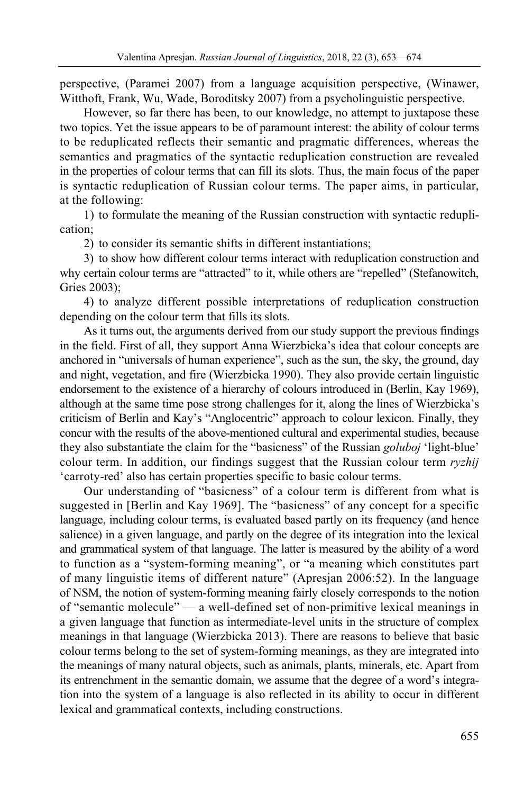perspective, (Paramei 2007) from a language acquisition perspective, (Winawer, Witthoft, Frank, Wu, Wade, Boroditsky 2007) from a psycholinguistic perspective.

However, so far there has been, to our knowledge, no attempt to juxtapose these two topics. Yet the issue appears to be of paramount interest: the ability of colour terms to be reduplicated reflects their semantic and pragmatic differences, whereas the semantics and pragmatics of the syntactic reduplication construction are revealed in the properties of colour terms that can fill its slots. Thus, the main focus of the paper is syntactic reduplication of Russian colour terms. The paper aims, in particular, at the following:

1) to formulate the meaning of the Russian construction with syntactic reduplication;

2) to consider its semantic shifts in different instantiations;

3) to show how different colour terms interact with reduplication construction and why certain colour terms are "attracted" to it, while others are "repelled" (Stefanowitch, Gries 2003);

4) to analyze different possible interpretations of reduplication construction depending on the colour term that fills its slots.

As it turns out, the arguments derived from our study support the previous findings in the field. First of all, they support Anna Wierzbicka's idea that colour concepts are anchored in "universals of human experience", such as the sun, the sky, the ground, day and night, vegetation, and fire (Wierzbicka 1990). They also provide certain linguistic endorsement to the existence of a hierarchy of colours introduced in (Berlin, Kay 1969), although at the same time pose strong challenges for it, along the lines of Wierzbicka's criticism of Berlin and Kay's "Anglocentric" approach to colour lexicon. Finally, they concur with the results of the above-mentioned cultural and experimental studies, because they also substantiate the claim for the "basicness" of the Russian *goluboj* 'light-blue' colour term. In addition, our findings suggest that the Russian colour term *ryzhij*  'carroty-red' also has certain properties specific to basic colour terms.

Our understanding of "basicness" of a colour term is different from what is suggested in [Berlin and Kay 1969]. The "basicness" of any concept for a specific language, including colour terms, is evaluated based partly on its frequency (and hence salience) in a given language, and partly on the degree of its integration into the lexical and grammatical system of that language. The latter is measured by the ability of a word to function as a "system-forming meaning", or "a meaning which constitutes part of many linguistic items of different nature" (Apresjan 2006:52). In the language of NSM, the notion of system-forming meaning fairly closely corresponds to the notion of "semantic molecule" — a well-defined set of non-primitive lexical meanings in a given language that function as intermediate-level units in the structure of complex meanings in that language (Wierzbicka 2013). There are reasons to believe that basic colour terms belong to the set of system-forming meanings, as they are integrated into the meanings of many natural objects, such as animals, plants, minerals, etc. Apart from its entrenchment in the semantic domain, we assume that the degree of a word's integration into the system of a language is also reflected in its ability to occur in different lexical and grammatical contexts, including constructions.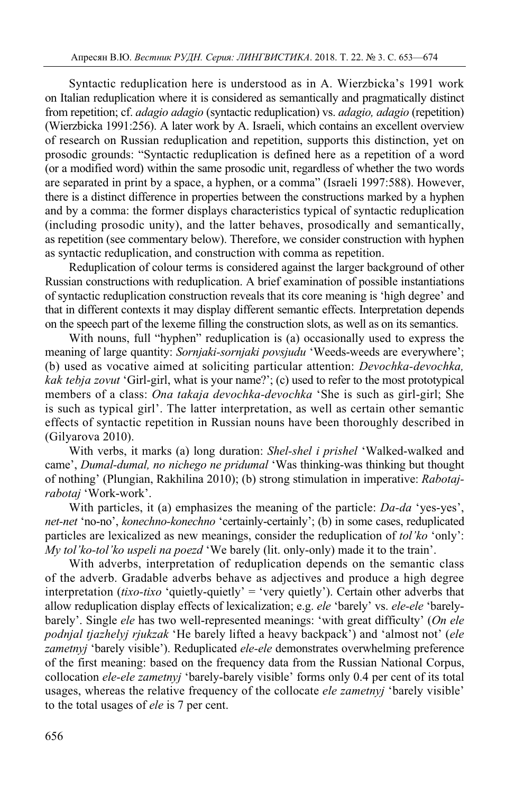Syntactic reduplication here is understood as in A. Wierzbicka's 1991 work on Italian reduplication where it is considered as semantically and pragmatically distinct from repetition; cf. *adagio adagio* (syntactic reduplication) vs. *adagio, adagio* (repetition) (Wierzbicka 1991:256). A later work by A. Israeli, which contains an excellent overview of research on Russian reduplication and repetition, supports this distinction, yet on prosodic grounds: "Syntactic reduplication is defined here as a repetition of a word (or a modified word) within the same prosodic unit, regardless of whether the two words are separated in print by a space, a hyphen, or a comma" (Israeli 1997:588). However, there is a distinct difference in properties between the constructions marked by a hyphen and by a comma: the former displays characteristics typical of syntactic reduplication (including prosodic unity), and the latter behaves, prosodically and semantically, as repetition (see commentary below). Therefore, we consider construction with hyphen as syntactic reduplication, and construction with comma as repetition.

Reduplication of colour terms is considered against the larger background of other Russian constructions with reduplication. A brief examination of possible instantiations of syntactic reduplication construction reveals that its core meaning is 'high degree' and that in different contexts it may display different semantic effects. Interpretation depends on the speech part of the lexeme filling the construction slots, as well as on its semantics.

With nouns, full "hyphen" reduplication is (a) occasionally used to express the meaning of large quantity: *Sornjaki-sornjaki povsjudu* 'Weeds-weeds are everywhere'; (b) used as vocative aimed at soliciting particular attention: *Devochka-devochka, kak tebja zovut* 'Girl-girl, what is your name?'; (c) used to refer to the most prototypical members of a class: *Ona takaja devochka-devochka* 'She is such as girl-girl; She is such as typical girl'. The latter interpretation, as well as certain other semantic effects of syntactic repetition in Russian nouns have been thoroughly described in (Gilyarova 2010).

With verbs, it marks (a) long duration: *Shel-shel i prishel* 'Walked-walked and came', *Dumal-dumal, no nichego ne pridumal* 'Was thinking-was thinking but thought of nothing' (Plungian, Rakhilina 2010); (b) strong stimulation in imperative: *Rabotajrabotaj* 'Work-work'.

With particles, it (a) emphasizes the meaning of the particle: *Da-da* 'yes-yes', *net-net* 'no-no', *konechno-konechno* 'certainly-certainly'; (b) in some cases, reduplicated particles are lexicalized as new meanings, consider the reduplication of *tol'ko* 'only': *My tol'ko-tol'ko uspeli na poezd* 'We barely (lit. only-only) made it to the train'.

With adverbs, interpretation of reduplication depends on the semantic class of the adverb. Gradable adverbs behave as adjectives and produce a high degree interpretation (*tixo-tixo* 'quietly-quietly' = 'very quietly'). Certain other adverbs that allow reduplication display effects of lexicalization; e.g. *ele* 'barely' vs. *ele-ele* 'barelybarely'. Single *ele* has two well-represented meanings: 'with great difficulty' (*On ele podnjal tjazhelyj rjukzak* 'He barely lifted a heavy backpack') and 'almost not' (*ele zametnyj* 'barely visible'). Reduplicated *ele-ele* demonstrates overwhelming preference of the first meaning: based on the frequency data from the Russian National Corpus, collocation *ele-ele zametnyj* 'barely-barely visible' forms only 0.4 per cent of its total usages, whereas the relative frequency of the collocate *ele zametnyj* 'barely visible' to the total usages of *ele* is 7 per cent.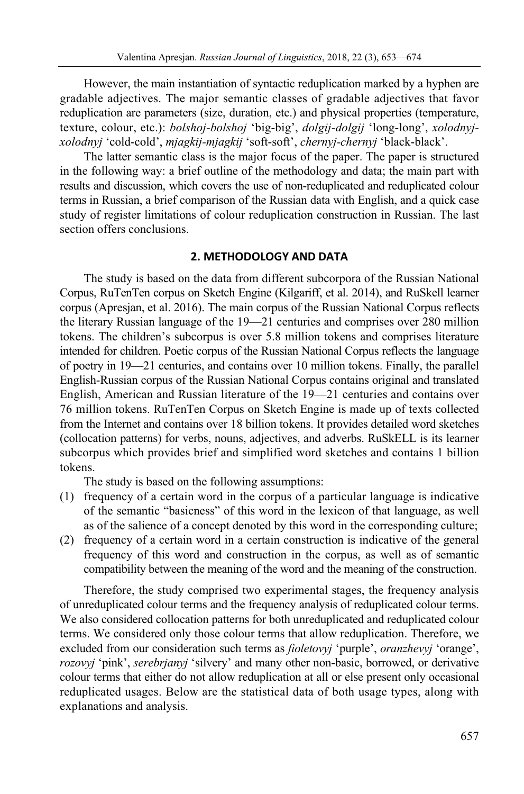However, the main instantiation of syntactic reduplication marked by a hyphen are gradable adjectives. The major semantic classes of gradable adjectives that favor reduplication are parameters (size, duration, etc.) and physical properties (temperature, texture, colour, etc.): *bolshoj-bolshoj* 'big-big', *dolgij-dolgij* 'long-long', *xolodnyjxolodnyj* 'cold-cold', *mjagkij-mjagkij* 'soft-soft', *chernyj-chernyj* 'black-black'.

The latter semantic class is the major focus of the paper. The paper is structured in the following way: a brief outline of the methodology and data; the main part with results and discussion, which covers the use of non-reduplicated and reduplicated colour terms in Russian, a brief comparison of the Russian data with English, and a quick case study of register limitations of colour reduplication construction in Russian. The last section offers conclusions.

## **2. METHODOLOGY AND DATA**

The study is based on the data from different subcorpora of the Russian National Corpus, RuTenTen corpus on Sketch Engine (Kilgariff, et al. 2014), and RuSkell learner corpus (Apresjan, et al. 2016). The main corpus of the Russian National Corpus reflects the literary Russian language of the 19—21 centuries and comprises over 280 million tokens. The children's subcorpus is over 5.8 million tokens and comprises literature intended for children. Poetic corpus of the Russian National Corpus reflects the language of poetry in 19—21 centuries, and contains over 10 million tokens. Finally, the parallel English-Russian corpus of the Russian National Corpus contains original and translated English, American and Russian literature of the 19—21 centuries and contains over 76 million tokens. RuTenTen Corpus on Sketch Engine is made up of texts collected from the Internet and contains over 18 billion tokens. It provides detailed word sketches (collocation patterns) for verbs, nouns, adjectives, and adverbs. RuSkELL is its learner subcorpus which provides brief and simplified word sketches and contains 1 billion tokens.

The study is based on the following assumptions:

- (1) frequency of a certain word in the corpus of a particular language is indicative of the semantic "basicness" of this word in the lexicon of that language, as well as of the salience of a concept denoted by this word in the corresponding culture;
- (2) frequency of a certain word in a certain construction is indicative of the general frequency of this word and construction in the corpus, as well as of semantic compatibility between the meaning of the word and the meaning of the construction.

Therefore, the study comprised two experimental stages, the frequency analysis of unreduplicated colour terms and the frequency analysis of reduplicated colour terms. We also considered collocation patterns for both unreduplicated and reduplicated colour terms. We considered only those colour terms that allow reduplication. Therefore, we excluded from our consideration such terms as *fioletovyj* 'purple', *oranzhevyj* 'orange', *rozovyj* 'pink', *serebrjanyj* 'silvery' and many other non-basic, borrowed, or derivative colour terms that either do not allow reduplication at all or else present only occasional reduplicated usages. Below are the statistical data of both usage types, along with explanations and analysis.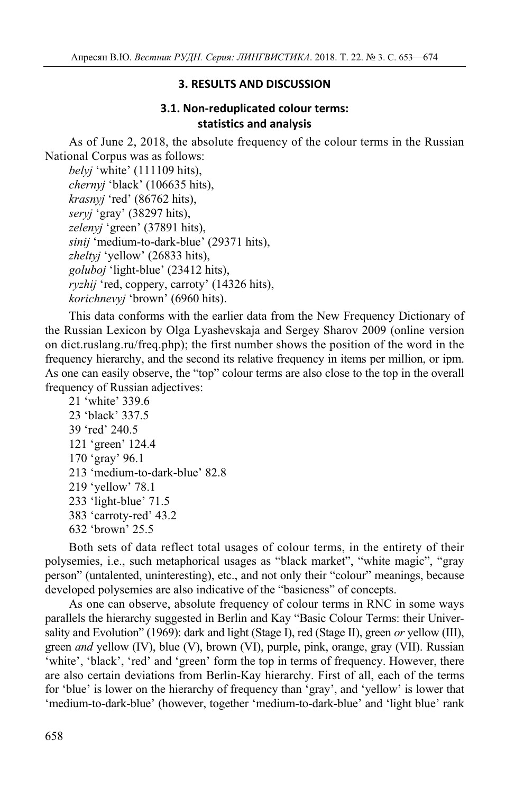## **3. RESULTS AND DISCUSSION**

## **3.1. Non-reduplicated colour terms: statistics and analysis**

As of June 2, 2018, the absolute frequency of the colour terms in the Russian National Corpus was as follows:

*belyj* 'white' (111109 hits), *chernyj* 'black' (106635 hits), *krasnyj* 'red' (86762 hits), *seryj* 'gray' (38297 hits), *zelenyj* 'green' (37891 hits), *sinij* 'medium-to-dark-blue' (29371 hits), *zheltyj* 'yellow' (26833 hits), *goluboj* 'light-blue' (23412 hits), *ryzhij* 'red, coppery, carroty' (14326 hits), *korichnevyj* 'brown' (6960 hits).

This data conforms with the earlier data from the New Frequency Dictionary of the Russian Lexicon by Olga Lyashevskaja and Sergey Sharov 2009 (online version on dict.ruslang.ru/freq.php); the first number shows the position of the word in the frequency hierarchy, and the second its relative frequency in items per million, or ipm. As one can easily observe, the "top" colour terms are also close to the top in the overall frequency of Russian adjectives:

21 'white' 339.6 23 'black' 337.5 39 'red' 240.5 121 'green' 124.4 170 'gray' 96.1 213 'medium-to-dark-blue' 82.8 219 'yellow' 78.1 233 'light-blue' 71.5 383 'carroty-red' 43.2 632 'brown' 25.5

Both sets of data reflect total usages of colour terms, in the entirety of their polysemies, i.e., such metaphorical usages as "black market", "white magic", "gray person" (untalented, uninteresting), etc., and not only their "colour" meanings, because developed polysemies are also indicative of the "basicness" of concepts.

As one can observe, absolute frequency of colour terms in RNC in some ways parallels the hierarchy suggested in Berlin and Kay "Basic Colour Terms: their Universality and Evolution" (1969): dark and light (Stage I), red (Stage II), green *or* yellow (III), green *and* yellow (IV), blue (V), brown (VI), purple, pink, orange, gray (VII). Russian 'white', 'black', 'red' and 'green' form the top in terms of frequency. However, there are also certain deviations from Berlin-Kay hierarchy. First of all, each of the terms for 'blue' is lower on the hierarchy of frequency than 'gray', and 'yellow' is lower that 'medium-to-dark-blue' (however, together 'medium-to-dark-blue' and 'light blue' rank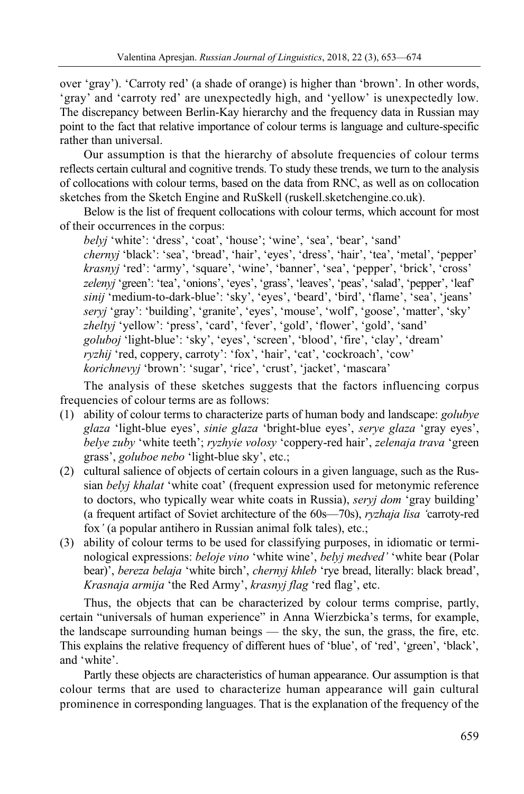over 'gray'). 'Carroty red' (a shade of orange) is higher than 'brown'. In other words, 'gray' and 'carroty red' are unexpectedly high, and 'yellow' is unexpectedly low. The discrepancy between Berlin-Kay hierarchy and the frequency data in Russian may point to the fact that relative importance of colour terms is language and culture-specific rather than universal.

Our assumption is that the hierarchy of absolute frequencies of colour terms reflects certain cultural and cognitive trends. To study these trends, we turn to the analysis of collocations with colour terms, based on the data from RNC, as well as on collocation sketches from the Sketch Engine and RuSkell (ruskell.sketchengine.co.uk).

Below is the list of frequent collocations with colour terms, which account for most of their occurrences in the corpus:

*belyj* 'white': 'dress', 'coat', 'house'; 'wine', 'sea', 'bear', 'sand' *chernyj* 'black': 'sea', 'bread', 'hair', 'eyes', 'dress', 'hair', 'tea', 'metal', 'pepper' *krasnyj* 'red': 'army', 'square', 'wine', 'banner', 'sea', 'pepper', 'brick', 'cross' *zelenyj* 'green': 'tea', 'onions', 'eyes', 'grass', 'leaves', 'peas', 'salad', 'pepper', 'leaf' *sinij* 'medium-to-dark-blue': 'sky', 'eyes', 'beard', 'bird', 'flame', 'sea', 'jeans' *seryj* 'gray': 'building', 'granite', 'eyes', 'mouse', 'wolf', 'goose', 'matter', 'sky' *zheltyj* 'yellow': 'press', 'card', 'fever', 'gold', 'flower', 'gold', 'sand' *goluboj* 'light-blue': 'sky', 'eyes', 'screen', 'blood', 'fire', 'clay', 'dream' *ryzhij* 'red, coppery, carroty': 'fox', 'hair', 'cat', 'cockroach', 'cow' *korichnevyj* 'brown': 'sugar', 'rice', 'crust', 'jacket', 'mascara'

The analysis of these sketches suggests that the factors influencing corpus frequencies of colour terms are as follows:

- (1) ability of colour terms to characterize parts of human body and landscape: *golubye glaza* 'light-blue eyes', *sinie glaza* 'bright-blue eyes', *serye glaza* 'gray eyes', *belye zuby* 'white teeth'; *ryzhyie volosy* 'coppery-red hair', *zelenaja trava* 'green grass', *goluboe nebo* 'light-blue sky', etc.;
- (2) cultural salience of objects of certain colours in a given language, such as the Russian *belyj khalat* 'white coat' (frequent expression used for metonymic reference to doctors, who typically wear white coats in Russia), *seryj dom* 'gray building' (a frequent artifact of Soviet architecture of the 60s—70s), *ryzhaja lisa '*carroty-red fox*'* (a popular antihero in Russian animal folk tales), etc.;
- (3) ability of colour terms to be used for classifying purposes, in idiomatic or terminological expressions: *beloje vino* 'white wine', *belyj medved'* 'white bear (Polar bear)', *bereza belaja* 'white birch', *chernyj khleb* 'rye bread, literally: black bread', *Krasnaja armija* 'the Red Army', *krasnyj flag* 'red flag', etc.

Thus, the objects that can be characterized by colour terms comprise, partly, certain "universals of human experience" in Anna Wierzbicka's terms, for example, the landscape surrounding human beings — the sky, the sun, the grass, the fire, etc. This explains the relative frequency of different hues of 'blue', of 'red', 'green', 'black', and 'white'.

Partly these objects are characteristics of human appearance. Our assumption is that colour terms that are used to characterize human appearance will gain cultural prominence in corresponding languages. That is the explanation of the frequency of the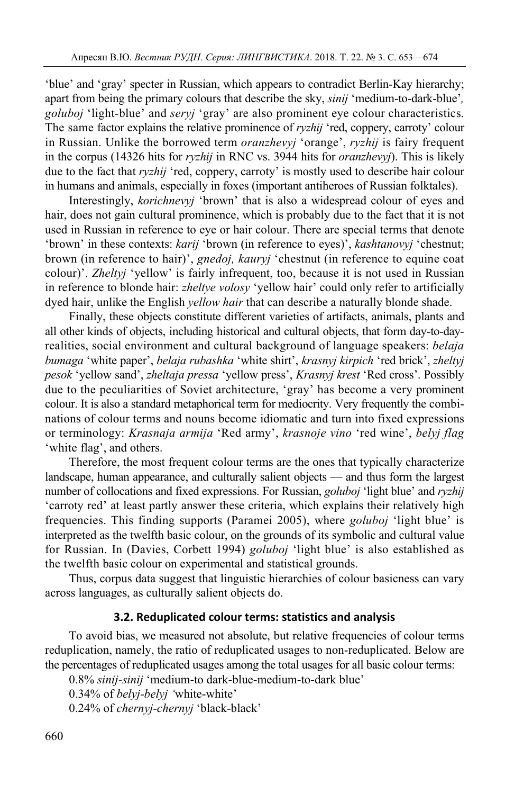'blue' and 'gray' specter in Russian, which appears to contradict Berlin-Kay hierarchy; apart from being the primary colours that describe the sky, *sinij* 'medium-to-dark-blue'*, goluboj* 'light-blue' and *seryj* 'gray' are also prominent eye colour characteristics. The same factor explains the relative prominence of *ryzhij* 'red, coppery, carroty' colour in Russian. Unlike the borrowed term *oranzhevyj* 'orange', *ryzhij* is fairy frequent in the corpus (14326 hits for *ryzhij* in RNC vs. 3944 hits for *oranzhevyj*). This is likely due to the fact that *ryzhij* 'red, coppery, carroty' is mostly used to describe hair colour in humans and animals, especially in foxes (important antiheroes of Russian folktales).

Interestingly, *korichnevyj* 'brown' that is also a widespread colour of eyes and hair, does not gain cultural prominence, which is probably due to the fact that it is not used in Russian in reference to eye or hair colour. There are special terms that denote 'brown' in these contexts: *karij* 'brown (in reference to eyes)', *kashtanovyj* 'chestnut; brown (in reference to hair)', *gnedoj, kauryj* 'chestnut (in reference to equine coat colour)'. *Zheltyj* 'yellow' is fairly infrequent, too, because it is not used in Russian in reference to blonde hair: *zheltye volosy* 'yellow hair' could only refer to artificially dyed hair, unlike the English *yellow hair* that can describe a naturally blonde shade.

Finally, these objects constitute different varieties of artifacts, animals, plants and all other kinds of objects, including historical and cultural objects, that form day-to-dayrealities, social environment and cultural background of language speakers: *belaja bumaga* 'white paper', *belaja rubashka* 'white shirt', *krasnyj kirpich* 'red brick', *zheltyj pesok* 'yellow sand', *zheltaja pressa* 'yellow press', *Krasnyj krest* 'Red cross'. Possibly due to the peculiarities of Soviet architecture, 'gray' has become a very prominent colour. It is also a standard metaphorical term for mediocrity. Very frequently the combinations of colour terms and nouns become idiomatic and turn into fixed expressions or terminology: *Krasnaja armija* 'Red army', *krasnoje vino* 'red wine', *belyj flag*  'white flag', and others.

Therefore, the most frequent colour terms are the ones that typically characterize landscape, human appearance, and culturally salient objects — and thus form the largest number of collocations and fixed expressions. For Russian, *goluboj* 'light blue' and *ryzhij*  'carroty red' at least partly answer these criteria, which explains their relatively high frequencies. This finding supports (Paramei 2005), where *goluboj* 'light blue' is interpreted as the twelfth basic colour, on the grounds of its symbolic and cultural value for Russian. In (Davies, Corbett 1994) *goluboj* 'light blue' is also established as the twelfth basic colour on experimental and statistical grounds.

Thus, corpus data suggest that linguistic hierarchies of colour basicness can vary across languages, as culturally salient objects do.

## **3.2. Reduplicated colour terms: statistics and analysis**

To avoid bias, we measured not absolute, but relative frequencies of colour terms reduplication, namely, the ratio of reduplicated usages to non-reduplicated. Below are the percentages of reduplicated usages among the total usages for all basic colour terms:

0.8% *sinij-sinij* 'medium-to dark-blue-medium-to-dark blue'

0.34% of *belyj-belyj '*white-white'

0.24% of *chernyj-chernyj* 'black-black'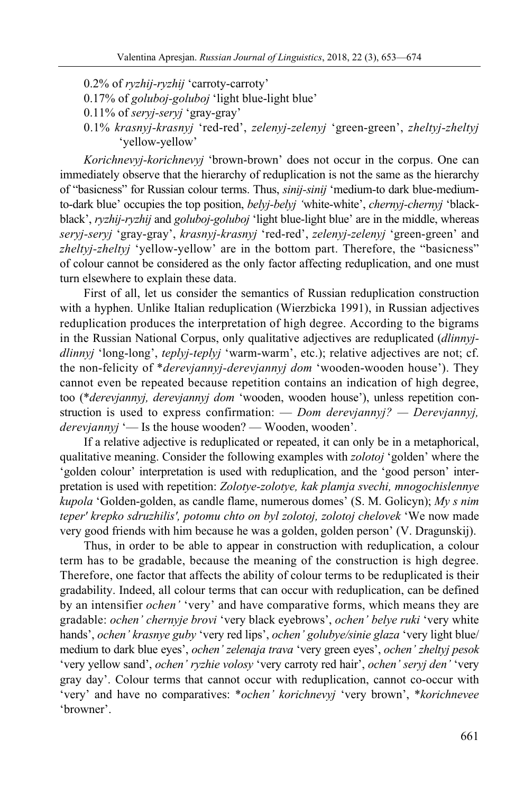0.2% of *ryzhij-ryzhij* 'carroty-carroty'

- 0.17% of *goluboj-goluboj* 'light blue-light blue'
- 0.11% of *seryj-seryj* 'gray-gray'
- 0.1% *krasnyj-krasnyj* 'red-red', *zelenyj-zelenyj* 'green-green', *zheltyj-zheltyj*  'yellow-yellow'

*Korichnevyj-korichnevyj* 'brown-brown' does not occur in the corpus. One can immediately observe that the hierarchy of reduplication is not the same as the hierarchy of "basicness" for Russian colour terms. Thus, *sinij-sinij* 'medium-to dark blue-mediumto-dark blue' occupies the top position, *belyj-belyj '*white-white', *chernyj-chernyj* 'blackblack', *ryzhij-ryzhij* and *goluboj-goluboj* 'light blue-light blue' are in the middle, whereas *seryj-seryj* 'gray-gray', *krasnyj-krasnyj* 'red-red', *zelenyj-zelenyj* 'green-green' and *zheltyj-zheltyj* 'yellow-yellow' are in the bottom part. Therefore, the "basicness" of colour cannot be considered as the only factor affecting reduplication, and one must turn elsewhere to explain these data.

First of all, let us consider the semantics of Russian reduplication construction with a hyphen. Unlike Italian reduplication (Wierzbicka 1991), in Russian adjectives reduplication produces the interpretation of high degree. According to the bigrams in the Russian National Corpus, only qualitative adjectives are reduplicated (*dlinnyjdlinnyj* 'long-long', *teplyj-teplyj* 'warm-warm', etc.); relative adjectives are not; cf. the non-felicity of \**derevjannyj-derevjannyj dom* 'wooden-wooden house'). They cannot even be repeated because repetition contains an indication of high degree, too (\**derevjannyj, derevjannyj dom* 'wooden, wooden house'), unless repetition construction is used to express confirmation: — *Dom derevjannyj? — Derevjannyj, derevjannyj* '— Is the house wooden? — Wooden, wooden'.

If a relative adjective is reduplicated or repeated, it can only be in a metaphorical, qualitative meaning. Consider the following examples with *zolotoj* 'golden' where the 'golden colour' interpretation is used with reduplication, and the 'good person' interpretation is used with repetition: *Zolotye-zolotye, kak plamja svechi, mnogochislennye kupola* 'Golden-golden, as candle flame, numerous domes' (S. M. Golicyn); *My s nim teper' krepko sdruzhilis', potomu chto on byl zolotoj, zolotoj chelovek* 'We now made very good friends with him because he was a golden, golden person' (V. Dragunskij).

Thus, in order to be able to appear in construction with reduplication, a colour term has to be gradable, because the meaning of the construction is high degree. Therefore, one factor that affects the ability of colour terms to be reduplicated is their gradability. Indeed, all colour terms that can occur with reduplication, can be defined by an intensifier *ochen'* 'very' and have comparative forms, which means they are gradable: *ochen' chernyje brovi* 'very black eyebrows', *ochen' belye ruki* 'very white hands', *ochen' krasnye guby* 'very red lips', *ochen' golubye/sinie glaza* 'very light blue/ medium to dark blue eyes', *ochen' zelenaja trava* 'very green eyes', *ochen' zheltyj pesok*  'very yellow sand', *ochen' ryzhie volosy* 'very carroty red hair', *ochen' seryj den'* 'very gray day'. Colour terms that cannot occur with reduplication, cannot co-occur with 'very' and have no comparatives: \**ochen' korichnevyj* 'very brown', \**korichnevee*  'browner'.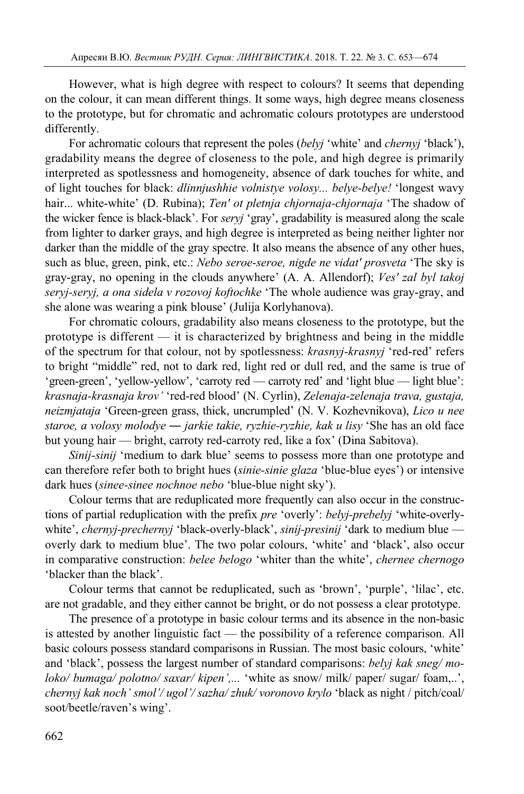However, what is high degree with respect to colours? It seems that depending on the colour, it can mean different things. It some ways, high degree means closeness to the prototype, but for chromatic and achromatic colours prototypes are understood differently.

For achromatic colours that represent the poles (*belyj* 'white' and *chernyj* 'black'), gradability means the degree of closeness to the pole, and high degree is primarily interpreted as spotlessness and homogeneity, absence of dark touches for white, and of light touches for black: *dlinnjushhie volnistye volosy... belye-belye!* 'longest wavy hair... white-white' (D. Rubina); *Ten' ot pletnja chjornaja-chjornaja* 'The shadow of the wicker fence is black-black'. For *seryj* 'gray', gradability is measured along the scale from lighter to darker grays, and high degree is interpreted as being neither lighter nor darker than the middle of the gray spectre. It also means the absence of any other hues, such as blue, green, pink, etc.: *Nebo seroe-seroe, nigde ne vidat' prosveta* 'The sky is gray-gray, no opening in the clouds anywhere' (A. A. Allendorf); *Ves' zal byl takoj seryj-seryj, a ona sidela v rozovoj koftochke* 'The whole audience was gray-gray, and she alone was wearing a pink blouse' (Julija Korlyhanova).

For chromatic colours, gradability also means closeness to the prototype, but the prototype is different — it is characterized by brightness and being in the middle of the spectrum for that colour, not by spotlessness: *krasnyj-krasnyj* 'red-red' refers to bright "middle" red, not to dark red, light red or dull red, and the same is true of 'green-green', 'yellow-yellow', 'carroty red — carroty red' and 'light blue — light blue': *krasnaja-krasnaja krov'* 'red-red blood' (N. Cyrlin), *Zelenaja-zelenaja trava, gustaja, neizmjataja* 'Green-green grass, thick, uncrumpled' (N. V. Kozhevnikova), *Lico u nee staroe, a volosy molodye ― jarkie takie, ryzhie-ryzhie, kak u lisy* 'She has an old face but young hair — bright, carroty red-carroty red, like a fox' (Dina Sabitova).

*Sinij-sinij* 'medium to dark blue' seems to possess more than one prototype and can therefore refer both to bright hues (*sinie-sinie glaza* 'blue-blue eyes') or intensive dark hues (*sinee-sinee nochnoe nebo* 'blue-blue night sky').

Colour terms that are reduplicated more frequently can also occur in the constructions of partial reduplication with the prefix *pre* 'overly': *belyj-prebelyj* 'white-overlywhite', *chernyj-prechernyj* 'black-overly-black', *sinij-presinij* 'dark to medium blue overly dark to medium blue'. The two polar colours, 'white' and 'black', also occur in comparative construction: *belee belogo* 'whiter than the white', *chernee chernogo*  'blacker than the black'.

Colour terms that cannot be reduplicated, such as 'brown', 'purple', 'lilac', etc. are not gradable, and they either cannot be bright, or do not possess a clear prototype.

The presence of a prototype in basic colour terms and its absence in the non-basic is attested by another linguistic fact — the possibility of a reference comparison. All basic colours possess standard comparisons in Russian. The most basic colours, 'white' and 'black', possess the largest number of standard comparisons: *belyj kak sneg/ moloko/ bumaga/ polotno/ saxar/ kipen',...* 'white as snow/ milk/ paper/ sugar/ foam,..', *chernyj kak noch' smol'/ ugol'/ sazha/ zhuk/ voronovo krylo* 'black as night / pitch/coal/ soot/beetle/raven's wing'.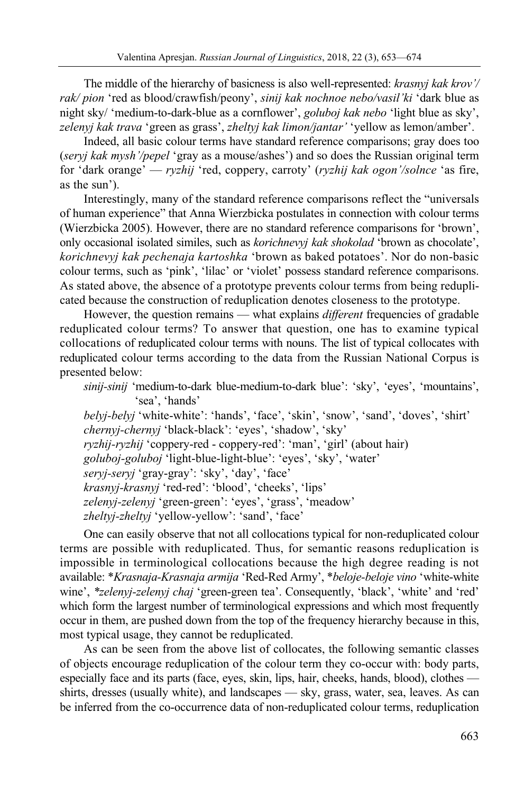The middle of the hierarchy of basicness is also well-represented: *krasnyj kak krov'/ rak/ pion* 'red as blood/crawfish/peony', *sinij kak nochnoe nebo/vasil'ki* 'dark blue as night sky/ 'medium-to-dark-blue as a cornflower', *goluboj kak nebo* 'light blue as sky', *zelenyj kak trava* 'green as grass', *zheltyj kak limon/jantar'* 'yellow as lemon/amber'.

Indeed, all basic colour terms have standard reference comparisons; gray does too (*seryj kak mysh'/pepel* 'gray as a mouse/ashes') and so does the Russian original term for 'dark orange' — *ryzhij* 'red, coppery, carroty' (*ryzhij kak ogon'/solnce* 'as fire, as the sun').

Interestingly, many of the standard reference comparisons reflect the "universals of human experience" that Anna Wierzbicka postulates in connection with colour terms (Wierzbicka 2005). However, there are no standard reference comparisons for 'brown', only occasional isolated similes, such as *korichnevyj kak shokolad* 'brown as chocolate', *korichnevyj kak pechenaja kartoshka* 'brown as baked potatoes'. Nor do non-basic colour terms, such as 'pink', 'lilac' or 'violet' possess standard reference comparisons. As stated above, the absence of a prototype prevents colour terms from being reduplicated because the construction of reduplication denotes closeness to the prototype.

However, the question remains — what explains *different* frequencies of gradable reduplicated colour terms? To answer that question, one has to examine typical collocations of reduplicated colour terms with nouns. The list of typical collocates with reduplicated colour terms according to the data from the Russian National Corpus is presented below:

```
sinij-sinij 'medium-to-dark blue-medium-to-dark blue': 'sky', 'eyes', 'mountains', 
'sea', 'hands'
```
*belyj-belyj* 'white-white': 'hands', 'face', 'skin', 'snow', 'sand', 'doves', 'shirt' *chernyj-chernyj* 'black-black': 'eyes', 'shadow', 'sky' *ryzhij-ryzhij* 'coppery-red - coppery-red': 'man', 'girl' (about hair) *goluboj-goluboj* 'light-blue-light-blue': 'eyes', 'sky', 'water' *seryj-seryj* 'gray-gray': 'sky', 'day', 'face' *krasnyj-krasnyj* 'red-red': 'blood', 'cheeks', 'lips' *zelenyj-zelenyj* 'green-green': 'eyes', 'grass', 'meadow' *zheltyj-zheltyj* 'yellow-yellow': 'sand', 'face'

One can easily observe that not all collocations typical for non-reduplicated colour terms are possible with reduplicated. Thus, for semantic reasons reduplication is impossible in terminological collocations because the high degree reading is not available: \**Krasnaja-Krasnaja armija* 'Red-Red Army', \**beloje-beloje vino* 'white-white wine', *\*zelenyj-zelenyj chaj* 'green-green tea'. Consequently, 'black', 'white' and 'red' which form the largest number of terminological expressions and which most frequently occur in them, are pushed down from the top of the frequency hierarchy because in this, most typical usage, they cannot be reduplicated.

As can be seen from the above list of collocates, the following semantic classes of objects encourage reduplication of the colour term they co-occur with: body parts, especially face and its parts (face, eyes, skin, lips, hair, cheeks, hands, blood), clothes shirts, dresses (usually white), and landscapes — sky, grass, water, sea, leaves. As can be inferred from the co-occurrence data of non-reduplicated colour terms, reduplication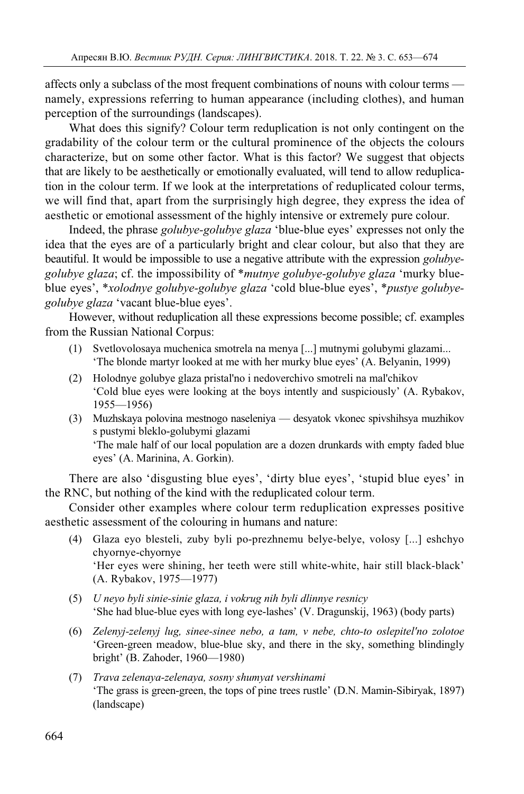affects only a subclass of the most frequent combinations of nouns with colour terms namely, expressions referring to human appearance (including clothes), and human perception of the surroundings (landscapes).

What does this signify? Colour term reduplication is not only contingent on the gradability of the colour term or the cultural prominence of the objects the colours characterize, but on some other factor. What is this factor? We suggest that objects that are likely to be aesthetically or emotionally evaluated, will tend to allow reduplication in the colour term. If we look at the interpretations of reduplicated colour terms, we will find that, apart from the surprisingly high degree, they express the idea of aesthetic or emotional assessment of the highly intensive or extremely pure colour.

Indeed, the phrase *golubye-golubye glaza* 'blue-blue eyes' expresses not only the idea that the eyes are of a particularly bright and clear colour, but also that they are beautiful. It would be impossible to use a negative attribute with the expression *golubyegolubye glaza*; cf. the impossibility of \**mutnye golubye-golubye glaza* 'murky blueblue eyes', \**xolodnye golubye-golubye glaza* 'cold blue-blue eyes', \**pustye golubyegolubye glaza* 'vacant blue-blue eyes'.

However, without reduplication all these expressions become possible; cf. examples from the Russian National Corpus:

- (1) Svetlovolosaya muchenica smotrela na menya [...] mutnymi golubymi glazami... 'The blonde martyr looked at me with her murky blue eyes' (A. Belyanin, 1999)
- (2) Holodnye golubye glaza pristal'no i nedoverchivo smotreli na mal'chikov 'Cold blue eyes were looking at the boys intently and suspiciously' (A. Rybakov, 1955—1956)
- (3) Muzhskaya polovina mestnogo naseleniya desyatok vkonec spivshihsya muzhikov s pustymi bleklo-golubymi glazami 'The male half of our local population are a dozen drunkards with empty faded blue eyes' (A. Marinina, A. Gorkin).

There are also 'disgusting blue eyes', 'dirty blue eyes', 'stupid blue eyes' in the RNC, but nothing of the kind with the reduplicated colour term.

Consider other examples where colour term reduplication expresses positive aesthetic assessment of the colouring in humans and nature:

- (4) Glaza eyo blesteli, zuby byli po-prezhnemu belye-belye, volosy [...] eshchyo chyornye-chyornye 'Her eyes were shining, her teeth were still white-white, hair still black-black' (A. Rybakov, 1975—1977)
- (5) *U neyo byli sinie-sinie glaza, i vokrug nih byli dlinnye resnicy*  'She had blue-blue eyes with long eye-lashes' (V. Dragunskij, 1963) (body parts)
- (6) *Zelenyj-zelenyj lug, sinee-sinee nebo, a tam, v nebe, chto-to oslepitel'no zolotoe* 'Green-green meadow, blue-blue sky, and there in the sky, something blindingly bright' (B. Zahoder, 1960—1980)
- (7) *Trava zelenaya-zelenaya, sosny shumyat vershinami*  'The grass is green-green, the tops of pine trees rustle' (D.N. Mamin-Sibiryak, 1897) (landscape)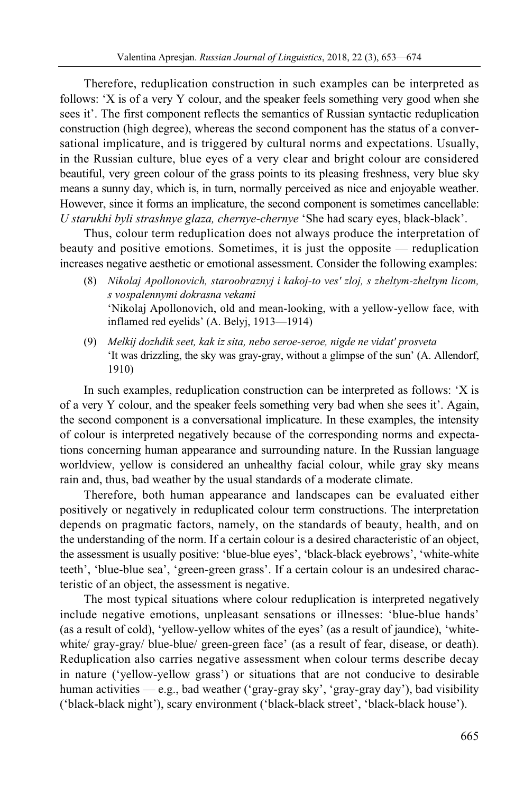Therefore, reduplication construction in such examples can be interpreted as follows: 'X is of a very Y colour, and the speaker feels something very good when she sees it'. The first component reflects the semantics of Russian syntactic reduplication construction (high degree), whereas the second component has the status of a conversational implicature, and is triggered by cultural norms and expectations. Usually, in the Russian culture, blue eyes of a very clear and bright colour are considered beautiful, very green colour of the grass points to its pleasing freshness, very blue sky means a sunny day, which is, in turn, normally perceived as nice and enjoyable weather. However, since it forms an implicature, the second component is sometimes cancellable: *U starukhi byli strashnye glaza, chernye-chernye* 'She had scary eyes, black-black'.

Thus, colour term reduplication does not always produce the interpretation of beauty and positive emotions. Sometimes, it is just the opposite — reduplication increases negative aesthetic or emotional assessment. Consider the following examples:

- (8) *Nikolaj Apollonovich, staroobraznyj i kakoj-to ves' zloj, s zheltym-zheltym licom, s vospalennymi dokrasna vekami*  'Nikolaj Apollonovich, old and mean-looking, with a yellow-yellow face, with inflamed red eyelids' (A. Belyj, 1913—1914)
- (9) *Melkij dozhdik seet, kak iz sita, nebo seroe-seroe, nigde ne vidat' prosveta*  'It was drizzling, the sky was gray-gray, without a glimpse of the sun' (A. Allendorf, 1910)

In such examples, reduplication construction can be interpreted as follows: 'X is of a very Y colour, and the speaker feels something very bad when she sees it'. Again, the second component is a conversational implicature. In these examples, the intensity of colour is interpreted negatively because of the corresponding norms and expectations concerning human appearance and surrounding nature. In the Russian language worldview, yellow is considered an unhealthy facial colour, while gray sky means rain and, thus, bad weather by the usual standards of a moderate climate.

Therefore, both human appearance and landscapes can be evaluated either positively or negatively in reduplicated colour term constructions. The interpretation depends on pragmatic factors, namely, on the standards of beauty, health, and on the understanding of the norm. If a certain colour is a desired characteristic of an object, the assessment is usually positive: 'blue-blue eyes', 'black-black eyebrows', 'white-white teeth', 'blue-blue sea', 'green-green grass'. If a certain colour is an undesired characteristic of an object, the assessment is negative.

The most typical situations where colour reduplication is interpreted negatively include negative emotions, unpleasant sensations or illnesses: 'blue-blue hands' (as a result of cold), 'yellow-yellow whites of the eyes' (as a result of jaundice), 'whitewhite/ gray-gray/ blue-blue/ green-green face' (as a result of fear, disease, or death). Reduplication also carries negative assessment when colour terms describe decay in nature ('yellow-yellow grass') or situations that are not conducive to desirable human activities — e.g., bad weather ('gray-gray sky', 'gray-gray day'), bad visibility ('black-black night'), scary environment ('black-black street', 'black-black house').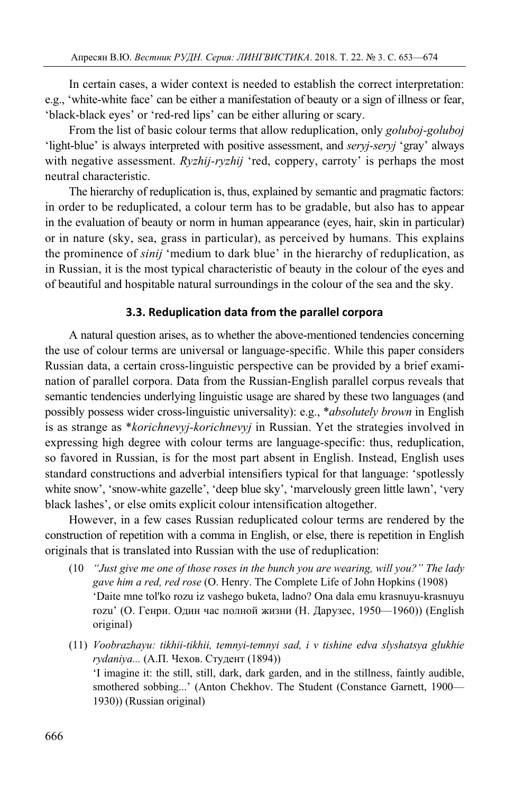In certain cases, a wider context is needed to establish the correct interpretation: e.g., 'white-white face' can be either a manifestation of beauty or a sign of illness or fear, 'black-black eyes' or 'red-red lips' can be either alluring or scary.

From the list of basic colour terms that allow reduplication, only *goluboj-goluboj*  'light-blue' is always interpreted with positive assessment, and *seryj-seryj* 'gray' always with negative assessment. *Ryzhij-ryzhij* 'red, coppery, carroty' is perhaps the most neutral characteristic.

The hierarchy of reduplication is, thus, explained by semantic and pragmatic factors: in order to be reduplicated, a colour term has to be gradable, but also has to appear in the evaluation of beauty or norm in human appearance (eyes, hair, skin in particular) or in nature (sky, sea, grass in particular), as perceived by humans. This explains the prominence of *sinij* 'medium to dark blue' in the hierarchy of reduplication, as in Russian, it is the most typical characteristic of beauty in the colour of the eyes and of beautiful and hospitable natural surroundings in the colour of the sea and the sky.

# **3.3. Reduplication data from the parallel corpora**

A natural question arises, as to whether the above-mentioned tendencies concerning the use of colour terms are universal or language-specific. While this paper considers Russian data, a certain cross-linguistic perspective can be provided by a brief examination of parallel corpora. Data from the Russian-English parallel corpus reveals that semantic tendencies underlying linguistic usage are shared by these two languages (and possibly possess wider cross-linguistic universality): e.g., \**absolutely brown* in English is as strange as \**korichnevyj-korichnevyj* in Russian. Yet the strategies involved in expressing high degree with colour terms are language-specific: thus, reduplication, so favored in Russian, is for the most part absent in English. Instead, English uses standard constructions and adverbial intensifiers typical for that language: 'spotlessly white snow', 'snow-white gazelle', 'deep blue sky', 'marvelously green little lawn', 'very black lashes', or else omits explicit colour intensification altogether.

However, in a few cases Russian reduplicated colour terms are rendered by the construction of repetition with a comma in English, or else, there is repetition in English originals that is translated into Russian with the use of reduplication:

- (10 *"Just give me one of those roses in the bunch you are wearing, will you?" The lady gave him a red, red rose* (O. Henry. The Complete Life of John Hopkins (1908) 'Daite mne tol'ko rozu iz vashego buketa, ladno? Ona dala emu krasnuyu-krasnuyu rozu' (О. Генри. Один час полной жизни (Н. Дарузес, 1950—1960)) (English original)
- (11) *Voobrazhayu: tikhii-tikhii, temnyi-temnyi sad, i v tishine edva slyshatsya glukhie rydaniya...* (А.П. Чехов. Студент (1894)) 'I imagine it: the still, still, dark, dark garden, and in the stillness, faintly audible,

smothered sobbing...' (Anton Chekhov. The Student (Constance Garnett, 1900— 1930)) (Russian original)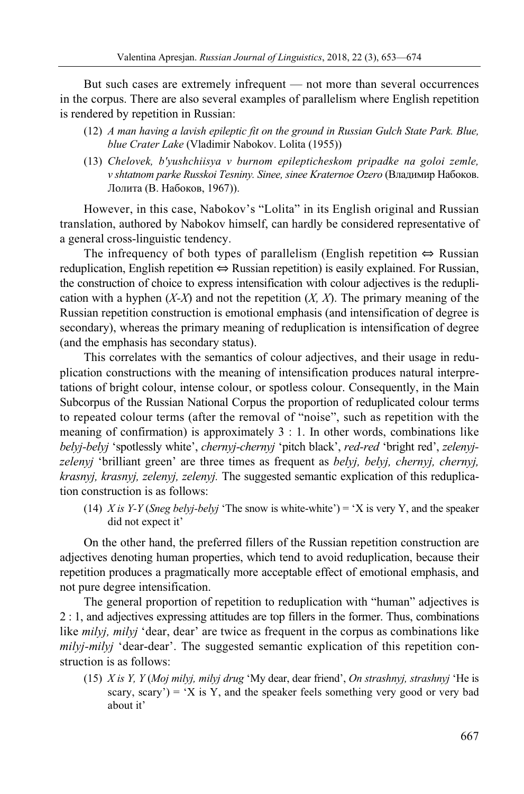But such cases are extremely infrequent — not more than several occurrences in the corpus. There are also several examples of parallelism where English repetition is rendered by repetition in Russian:

- (12) *A man having a lavish epileptic fit on the ground in Russian Gulch State Park. Blue, blue Crater Lake* (Vladimir Nabokov. Lolita (1955))
- (13) *Chelovek, b'yushchiisya v burnom epilepticheskom pripadke na goloi zemle, v shtatnom parke Russkoi Tesniny. Sinee, sinee Kraternoe Ozero* (Владимир Набоков. Лолита (В. Набоков, 1967)).

However, in this case, Nabokov's "Lolita" in its English original and Russian translation, authored by Nabokov himself, can hardly be considered representative of a general cross-linguistic tendency.

The infrequency of both types of parallelism (English repetition ⇔ Russian reduplication, English repetition ⇔ Russian repetition) is easily explained. For Russian, the construction of choice to express intensification with colour adjectives is the reduplication with a hyphen  $(X-X)$  and not the repetition  $(X, X)$ . The primary meaning of the Russian repetition construction is emotional emphasis (and intensification of degree is secondary), whereas the primary meaning of reduplication is intensification of degree (and the emphasis has secondary status).

This correlates with the semantics of colour adjectives, and their usage in reduplication constructions with the meaning of intensification produces natural interpretations of bright colour, intense colour, or spotless colour. Consequently, in the Main Subcorpus of the Russian National Corpus the proportion of reduplicated colour terms to repeated colour terms (after the removal of "noise", such as repetition with the meaning of confirmation) is approximately 3 : 1. In other words, combinations like *belyj-belyj* 'spotlessly white', *chernyj-chernyj* 'pitch black', *red-red* 'bright red', *zelenyjzelenyj* 'brilliant green' are three times as frequent as *belyj, belyj, chernyj, chernyj, krasnyj, krasnyj, zelenyj, zelenyj.* The suggested semantic explication of this reduplication construction is as follows:

(14) *X is Y-Y* (*Sneg belyj-belyj* 'The snow is white-white') = 'X is very Y, and the speaker did not expect it'

On the other hand, the preferred fillers of the Russian repetition construction are adjectives denoting human properties, which tend to avoid reduplication, because their repetition produces a pragmatically more acceptable effect of emotional emphasis, and not pure degree intensification.

The general proportion of repetition to reduplication with "human" adjectives is 2 : 1, and adjectives expressing attitudes are top fillers in the former. Thus, combinations like *milyj, milyj* 'dear, dear' are twice as frequent in the corpus as combinations like *milyj-milyj* 'dear-dear'. The suggested semantic explication of this repetition construction is as follows:

(15) *X is Y, Y* (*Moj milyj, milyj drug* 'My dear, dear friend', *On strashnyj, strashnyj* 'He is scary, scary') = 'X is Y, and the speaker feels something very good or very bad about it'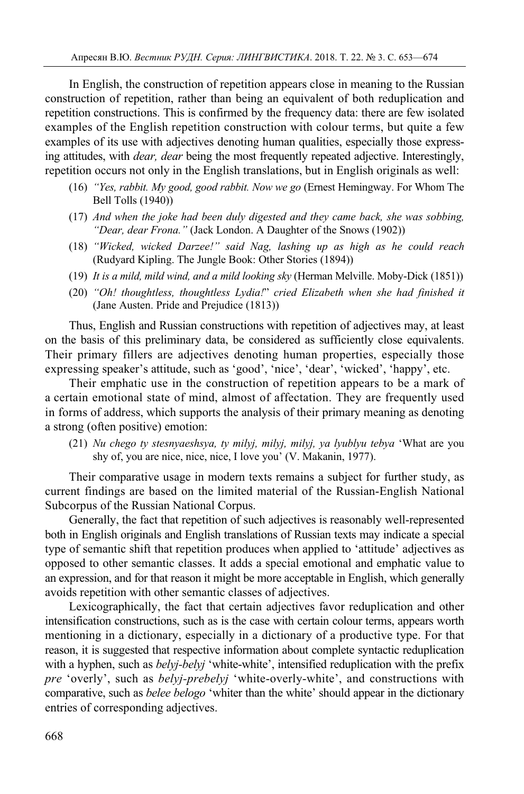In English, the construction of repetition appears close in meaning to the Russian construction of repetition, rather than being an equivalent of both reduplication and repetition constructions. This is confirmed by the frequency data: there are few isolated examples of the English repetition construction with colour terms, but quite a few examples of its use with adjectives denoting human qualities, especially those expressing attitudes, with *dear, dear* being the most frequently repeated adjective. Interestingly, repetition occurs not only in the English translations, but in English originals as well:

- (16) *"Yes, rabbit. My good, good rabbit. Now we go* (Ernest Hemingway. For Whom The Bell Tolls (1940))
- (17) *And when the joke had been duly digested and they came back, she was sobbing, "Dear, dear Frona."* (Jack London. A Daughter of the Snows (1902))
- (18) *"Wicked, wicked Darzee!" said Nag, lashing up as high as he could reach* (Rudyard Kipling. The Jungle Book: Other Stories (1894))
- (19) *It is a mild, mild wind, and a mild looking sky* (Herman Melville. Moby-Dick (1851))
- (20) *"Oh! thoughtless, thoughtless Lydia!*" *cried Elizabeth when she had finished it* (Jane Austen. Pride and Prejudice (1813))

Thus, English and Russian constructions with repetition of adjectives may, at least on the basis of this preliminary data, be considered as sufficiently close equivalents. Their primary fillers are adjectives denoting human properties, especially those expressing speaker's attitude, such as 'good', 'nice', 'dear', 'wicked', 'happy', etc.

Their emphatic use in the construction of repetition appears to be a mark of a certain emotional state of mind, almost of affectation. They are frequently used in forms of address, which supports the analysis of their primary meaning as denoting a strong (often positive) emotion:

(21) *Nu chego ty stesnyaeshsya, ty milyj, milyj, milyj, ya lyublyu tebya* 'What are you shy of, you are nice, nice, nice, I love you' (V. Makanin, 1977).

Their comparative usage in modern texts remains a subject for further study, as current findings are based on the limited material of the Russian-English National Subcorpus of the Russian National Corpus.

Generally, the fact that repetition of such adjectives is reasonably well-represented both in English originals and English translations of Russian texts may indicate a special type of semantic shift that repetition produces when applied to 'attitude' adjectives as opposed to other semantic classes. It adds a special emotional and emphatic value to an expression, and for that reason it might be more acceptable in English, which generally avoids repetition with other semantic classes of adjectives.

Lexicographically, the fact that certain adjectives favor reduplication and other intensification constructions, such as is the case with certain colour terms, appears worth mentioning in a dictionary, especially in a dictionary of a productive type. For that reason, it is suggested that respective information about complete syntactic reduplication with a hyphen, such as *belyj-belyj* 'white-white', intensified reduplication with the prefix *pre* 'overly', such as *belyj-prebelyj* 'white-overly-white', and constructions with comparative, such as *belee belogo* 'whiter than the white' should appear in the dictionary entries of corresponding adjectives.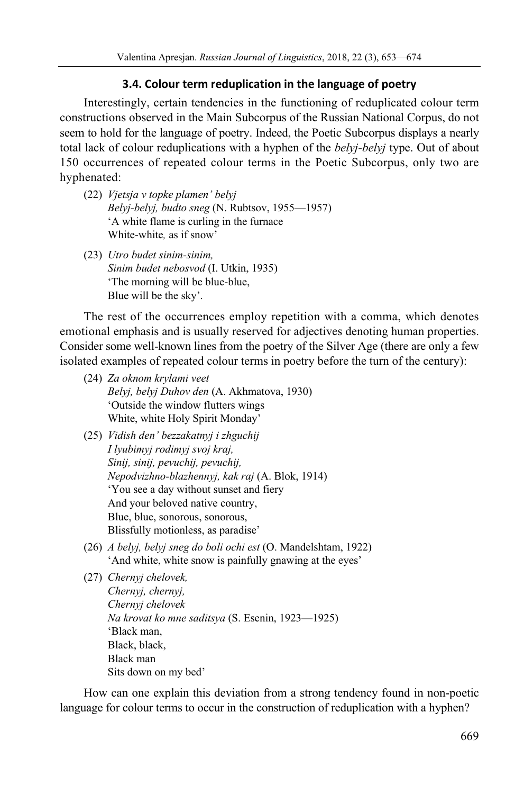## **3.4. Colour term reduplication in the language of poetry**

Interestingly, certain tendencies in the functioning of reduplicated colour term constructions observed in the Main Subcorpus of the Russian National Corpus, do not seem to hold for the language of poetry. Indeed, the Poetic Subcorpus displays a nearly total lack of colour reduplications with a hyphen of the *belyj-belyj* type. Out of about 150 occurrences of repeated colour terms in the Poetic Subcorpus, only two are hyphenated:

- (22) *Vjetsja v topke plamen' belyj Belyj-belyj, budto sneg* (N. Rubtsov, 1955—1957) 'A white flame is curling in the furnace White-white*,* as if snow'
- (23) *Utro budet sinim-sinim, Sinim budet nebosvod* (I. Utkin, 1935) 'The morning will be blue-blue, Blue will be the sky'.

The rest of the occurrences employ repetition with a comma, which denotes emotional emphasis and is usually reserved for adjectives denoting human properties. Consider some well-known lines from the poetry of the Silver Age (there are only a few isolated examples of repeated colour terms in poetry before the turn of the century):

- (24) *Za oknom krylami veet Belyj, belyj Duhov den* (A. Akhmatova, 1930) 'Outside the window flutters wings White, white Holy Spirit Monday'
- (25) *Vidish den' bezzakatnyj i zhguchij I lyubimyj rodimyj svoj kraj, Sinij, sinij, pevuchij, pevuchij, Nepodvizhno-blazhennyj, kak raj* (A. Blok, 1914) 'You see a day without sunset and fiery And your beloved native country, Blue, blue, sonorous, sonorous, Blissfully motionless, as paradise'
- (26) *A belyj, belyj sneg do boli ochi est* (O. Mandelshtam, 1922) 'And white, white snow is painfully gnawing at the eyes'

(27) *Chernyj chelovek, Chernyj, chernyj, Chernyj chelovek Na krovat ko mne saditsya* (S. Esenin, 1923—1925) 'Black man, Black, black, Black man Sits down on my bed'

How can one explain this deviation from a strong tendency found in non-poetic language for colour terms to occur in the construction of reduplication with a hyphen?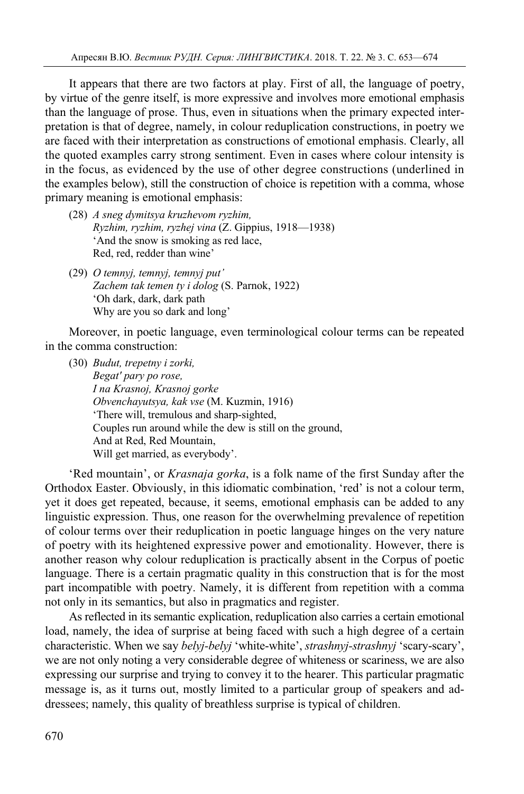It appears that there are two factors at play. First of all, the language of poetry, by virtue of the genre itself, is more expressive and involves more emotional emphasis than the language of prose. Thus, even in situations when the primary expected interpretation is that of degree, namely, in colour reduplication constructions, in poetry we are faced with their interpretation as constructions of emotional emphasis. Clearly, all the quoted examples carry strong sentiment. Even in cases where colour intensity is in the focus, as evidenced by the use of other degree constructions (underlined in the examples below), still the construction of choice is repetition with a comma, whose primary meaning is emotional emphasis:

- (28) *A sneg dymitsya kruzhevom ryzhim, Ryzhim, ryzhim, ryzhej vina* (Z. Gippius, 1918—1938) 'And the snow is smoking as red lace, Red, red, redder than wine'
- (29) *O temnyj, temnyj, temnyj put' Zachem tak temen ty i dolog* (S. Parnok, 1922) 'Oh dark, dark, dark path Why are you so dark and long'

Moreover, in poetic language, even terminological colour terms can be repeated in the comma construction:

(30) *Budut, trepetny i zorki, Begat' pary po rose, I na Krasnoj, Krasnoj gorke Obvenchayutsya, kak vse* (M. Kuzmin, 1916) 'There will, tremulous and sharp-sighted, Couples run around while the dew is still on the ground, And at Red, Red Mountain, Will get married, as everybody'.

'Red mountain', or *Krasnaja gorka*, is a folk name of the first Sunday after the Orthodox Easter. Obviously, in this idiomatic combination, 'red' is not a colour term, yet it does get repeated, because, it seems, emotional emphasis can be added to any linguistic expression. Thus, one reason for the overwhelming prevalence of repetition of colour terms over their reduplication in poetic language hinges on the very nature of poetry with its heightened expressive power and emotionality. However, there is another reason why colour reduplication is practically absent in the Corpus of poetic language. There is a certain pragmatic quality in this construction that is for the most part incompatible with poetry. Namely, it is different from repetition with a comma not only in its semantics, but also in pragmatics and register.

As reflected in its semantic explication, reduplication also carries a certain emotional load, namely, the idea of surprise at being faced with such a high degree of a certain characteristic. When we say *belyj-belyj* 'white-white', *strashnyj-strashnyj* 'scary-scary', we are not only noting a very considerable degree of whiteness or scariness, we are also expressing our surprise and trying to convey it to the hearer. This particular pragmatic message is, as it turns out, mostly limited to a particular group of speakers and addressees; namely, this quality of breathless surprise is typical of children.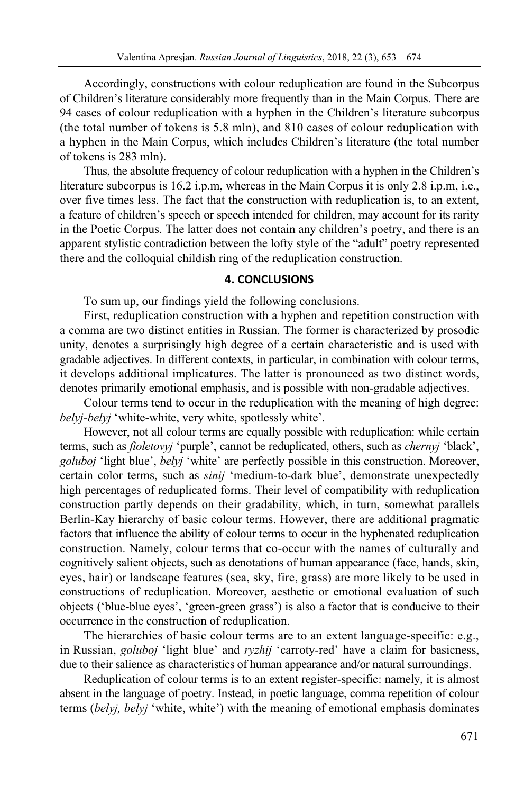Accordingly, constructions with colour reduplication are found in the Subcorpus of Children's literature considerably more frequently than in the Main Corpus. There are 94 cases of colour reduplication with a hyphen in the Children's literature subcorpus (the total number of tokens is 5.8 mln), and 810 cases of colour reduplication with a hyphen in the Main Corpus, which includes Children's literature (the total number of tokens is 283 mln).

Thus, the absolute frequency of colour reduplication with a hyphen in the Children's literature subcorpus is 16.2 i.p.m, whereas in the Main Corpus it is only 2.8 i.p.m, i.e., over five times less. The fact that the construction with reduplication is, to an extent, a feature of children's speech or speech intended for children, may account for its rarity in the Poetic Corpus. The latter does not contain any children's poetry, and there is an apparent stylistic contradiction between the lofty style of the "adult" poetry represented there and the colloquial childish ring of the reduplication construction.

## **4. CONCLUSIONS**

To sum up, our findings yield the following conclusions.

First, reduplication construction with a hyphen and repetition construction with a comma are two distinct entities in Russian. The former is characterized by prosodic unity, denotes a surprisingly high degree of a certain characteristic and is used with gradable adjectives. In different contexts, in particular, in combination with colour terms, it develops additional implicatures. The latter is pronounced as two distinct words, denotes primarily emotional emphasis, and is possible with non-gradable adjectives.

Colour terms tend to occur in the reduplication with the meaning of high degree: *belyj-belyj* 'white-white, very white, spotlessly white'.

However, not all colour terms are equally possible with reduplication: while certain terms, such as *fioletovyj* 'purple', cannot be reduplicated, others, such as *chernyj* 'black', *goluboj* 'light blue', *belyj* 'white' are perfectly possible in this construction. Moreover, certain color terms, such as *sinij* 'medium-to-dark blue', demonstrate unexpectedly high percentages of reduplicated forms. Their level of compatibility with reduplication construction partly depends on their gradability, which, in turn, somewhat parallels Berlin-Kay hierarchy of basic colour terms. However, there are additional pragmatic factors that influence the ability of colour terms to occur in the hyphenated reduplication construction. Namely, colour terms that co-occur with the names of culturally and cognitively salient objects, such as denotations of human appearance (face, hands, skin, eyes, hair) or landscape features (sea, sky, fire, grass) are more likely to be used in constructions of reduplication. Moreover, aesthetic or emotional evaluation of such objects ('blue-blue eyes', 'green-green grass') is also a factor that is conducive to their occurrence in the construction of reduplication.

The hierarchies of basic colour terms are to an extent language-specific: e.g., in Russian, *goluboj* 'light blue' and *ryzhij* 'carroty-red' have a claim for basicness, due to their salience as characteristics of human appearance and/or natural surroundings.

Reduplication of colour terms is to an extent register-specific: namely, it is almost absent in the language of poetry. Instead, in poetic language, comma repetition of colour terms (*belyj, belyj* 'white, white') with the meaning of emotional emphasis dominates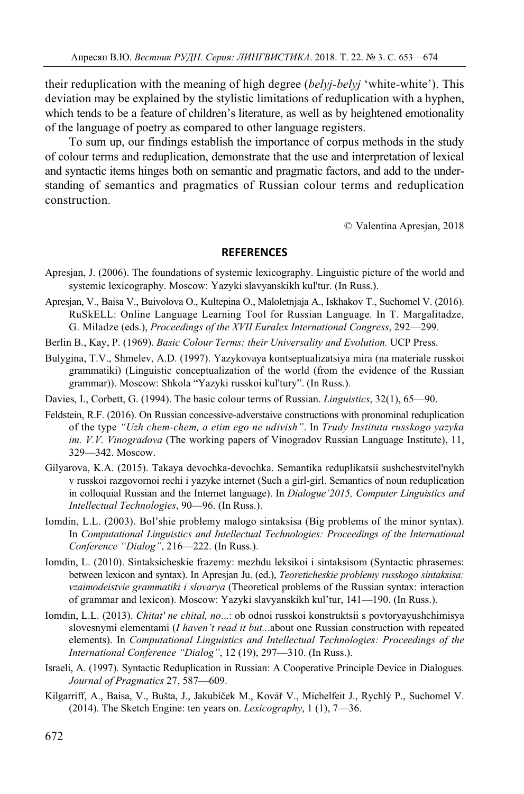their reduplication with the meaning of high degree (*belyj-belyj* 'white-white'). This deviation may be explained by the stylistic limitations of reduplication with a hyphen, which tends to be a feature of children's literature, as well as by heightened emotionality of the language of poetry as compared to other language registers.

To sum up, our findings establish the importance of corpus methods in the study of colour terms and reduplication, demonstrate that the use and interpretation of lexical and syntactic items hinges both on semantic and pragmatic factors, and add to the understanding of semantics and pragmatics of Russian colour terms and reduplication construction.

© Valentina Apresjan, 2018

## **REFERENCES**

- Apresjan, J. (2006). The foundations of systemic lexicography. Linguistic picture of the world and systemic lexicography. Moscow: Yazyki slavyanskikh kul'tur. (In Russ.).
- Apresjan, V., Baisa V., Buivolova O., Kultepina O., Maloletnjaja A., Iskhakov T., Suchomel V. (2016). RuSkELL: Online Language Learning Tool for Russian Language. In T. Margalitadze, G. Miladze (eds.), *Proceedings of the XVII Euralex International Congress*, 292—299.

Berlin B., Kay, P. (1969). *Basic Colour Terms: their Universality and Evolution.* UCP Press.

- Bulygina, T.V., Shmelev, A.D. (1997). Yazykovaya kontseptualizatsiya mira (na materiale russkoi grammatiki) (Linguistic conceptualization of the world (from the evidence of the Russian grammar)). Moscow: Shkola "Yazyki russkoi kul'tury". (In Russ.).
- Davies, I., Corbett, G. (1994). The basic colour terms of Russian. *Linguistics*, 32(1), 65—90.
- Feldstein, R.F. (2016). On Russian concessive-adverstaive constructions with pronominal reduplication of the type *"Uzh chem-chem, a etim ego ne udivish"*. In *Trudy Instituta russkogo yazyka im. V.V. Vinogradova* (The working papers of Vinogradov Russian Language Institute), 11, 329—342. Moscow.
- Gilyarova, K.A. (2015). Takaya devochka-devochka. Semantika reduplikatsii sushchestvitel'nykh v russkoi razgovornoi rechi i yazyke internet (Such a girl-girl. Semantics of noun reduplication in colloquial Russian and the Internet language). In *Dialogue'2015, Computer Linguistics and Intellectual Technologies*, 90—96. (In Russ.).
- Iomdin, L.L. (2003). Bol'shie problemy malogo sintaksisa (Big problems of the minor syntax). In *Computational Linguistics and Intellectual Technologies: Proceedings of the International Conference "Dialog"*, 216—222. (In Russ.).
- Iomdin, L. (2010). Sintaksicheskie frazemy: mezhdu leksikoi i sintaksisom (Syntactic phrasemes: between lexicon and syntax). In Apresjan Ju. (ed.), *Teoreticheskie problemy russkogo sintaksisa: vzaimodeistvie grammatiki i slovarya* (Theoretical problems of the Russian syntax: interaction of grammar and lexicon). Moscow: Yazyki slavyanskikh kul'tur, 141—190. (In Russ.).
- Iomdin, L.L. (2013). *Chitat' ne chital, no*...: ob odnoi russkoi konstruktsii s povtoryayushchimisya slovesnymi elementami (*I haven't read it but...*about one Russian construction with repeated elements). In *Computational Linguistics and Intellectual Technologies: Proceedings of the International Conference "Dialog"*, 12 (19), 297—310. (In Russ.).
- Israeli, A. (1997). Syntactic Reduplication in Russian: A Cooperative Principle Device in Dialogues. *Journal of Pragmatics* 27, 587—609.
- Kilgarriff, A., Baisa, V., Bušta, J., Jakubíček M., Kovář V., Michelfeit J., Rychlý P., Suchomel V. (2014). The Sketch Engine: ten years on. *Lexicography*, 1 (1), 7—36.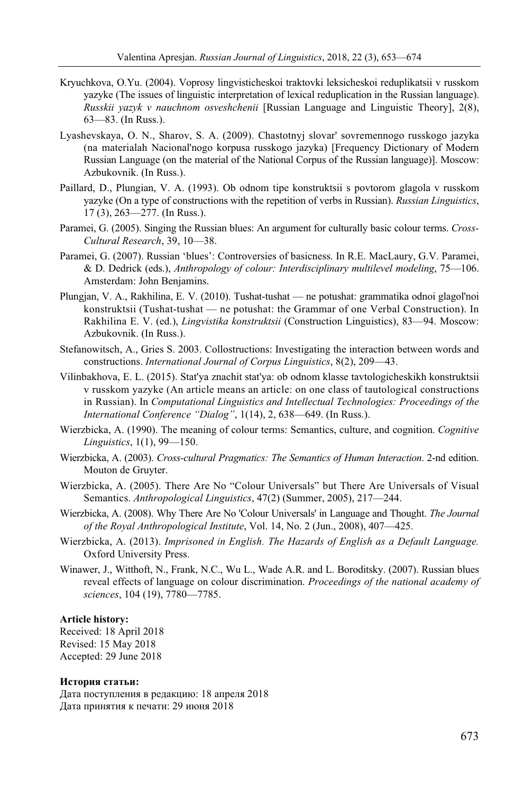- Kryuchkova, O.Yu. (2004). Voprosy lingvisticheskoi traktovki leksicheskoi reduplikatsii v russkom yazyke (The issues of linguistic interpretation of lexical reduplication in the Russian language). *Russkii yazyk v nauchnom osveshchenii* [Russian Language and Linguistic Theory], 2(8), 63—83. (In Russ.).
- Lyashevskaya, O. N., Sharov, S. A. (2009). Chastotnyj slovar' sovremennogo russkogo jazyka (na materialah Nacional'nogo korpusa russkogo jazyka) [Frequency Dictionary of Modern Russian Language (on the material of the National Corpus of the Russian language)]. Moscow: Azbukovnik. (In Russ.).
- Paillard, D., Plungian, V. A. (1993). Ob odnom tipe konstruktsii s povtorom glagola v russkom yazyke (On a type of constructions with the repetition of verbs in Russian). *Russian Linguistics*, 17 (3), 263—277. (In Russ.).
- Paramei, G. (2005). Singing the Russian blues: An argument for culturally basic colour terms. *Cross-Cultural Research*, 39, 10—38.
- Paramei, G. (2007). Russian 'blues': Controversies of basicness. In R.E. MacLaury, G.V. Paramei, & D. Dedrick (eds.), *Anthropology of colour: Interdisciplinary multilevel modeling*, 75—106. Amsterdam: John Benjamins.
- Plungjan, V. A., Rakhilina, E. V. (2010). Tushat-tushat ne potushat: grammatika odnoi glagol'noi konstruktsii (Tushat-tushat — ne potushat: the Grammar of one Verbal Construction). In Rakhilina E. V. (ed.), *Lingvistika konstruktsii* (Construction Linguistics), 83—94. Moscow: Azbukovnik. (In Russ.).
- Stefanowitsch, A., Gries S. 2003. Collostructions: Investigating the interaction between words and constructions. *International Journal of Corpus Linguistics*, 8(2), 209—43.
- Vilinbakhova, E. L. (2015). Stat'ya znachit stat'ya: ob odnom klasse tavtologicheskikh konstruktsii v russkom yazyke (An article means an article: on one class of tautological constructions in Russian). In *Computational Linguistics and Intellectual Technologies: Proceedings of the International Conference "Dialog"*, 1(14), 2, 638—649. (In Russ.).
- Wierzbicka, A. (1990). The meaning of colour terms: Semantics, culture, and cognition. *Cognitive Linguistics*, 1(1), 99—150.
- Wierzbicka, A. (2003). *Cross-cultural Pragmatics: The Semantics of Human Interaction*. 2-nd edition. Mouton de Gruyter.
- Wierzbicka, A. (2005). There Are No "Colour Universals" but There Are Universals of Visual Semantics. *Anthropological Linguistics*, 47(2) (Summer, 2005), 217—244.
- Wierzbicka, A. (2008). Why There Are No 'Colour Universals' in Language and Thought. *The Journal of the Royal Anthropological Institute*, Vol. 14, No. 2 (Jun., 2008), 407—425.
- Wierzbicka, A. (2013). *Imprisoned in English. The Hazards of English as a Default Language.* Oxford University Press.
- Winawer, J., Witthoft, N., Frank, N.C., Wu L., Wade A.R. and L. Boroditsky. (2007). Russian blues reveal effects of language on colour discrimination. *Proceedings of the national academy of sciences*, 104 (19), 7780—7785.

#### **Article history:**

Received: 18 April 2018 Revised: 15 May 2018 Accepted: 29 June 2018

#### **История статьи:**

Дата поступления в редакцию: 18 апреля 2018 Дата принятия к печати: 29 июня 2018